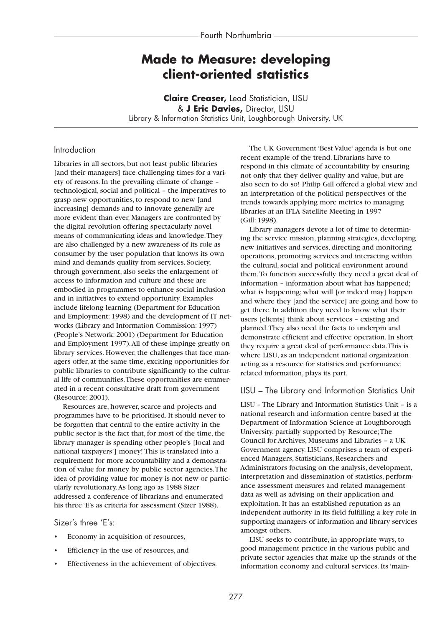# **Made to Measure: developing client-oriented statistics**

**Claire Creaser,** Lead Statistician, LISU & **J Eric Davies,** Director, LISU Library & Information Statistics Unit, Loughborough University, UK

# Introduction

Libraries in all sectors, but not least public libraries [and their managers] face challenging times for a variety of reasons. In the prevailing climate of change – technological, social and political – the imperatives to grasp new opportunities, to respond to new [and increasing] demands and to innovate generally are more evident than ever. Managers are confronted by the digital revolution offering spectacularly novel means of communicating ideas and knowledge.They are also challenged by a new awareness of its role as consumer by the user population that knows its own mind and demands quality from services. Society, through government, also seeks the enlargement of access to information and culture and these are embodied in programmes to enhance social inclusion and in initiatives to extend opportunity. Examples include lifelong learning (Department for Education and Employment: 1998) and the development of IT networks (Library and Information Commission: 1997) (People's Network: 2001) (Department for Education and Employment 1997).All of these impinge greatly on library services. However, the challenges that face managers offer, at the same time, exciting opportunities for public libraries to contribute significantly to the cultural life of communities.These opportunities are enumerated in a recent consultative draft from government (Resource: 2001).

Resources are, however, scarce and projects and programmes have to be prioritised. It should never to be forgotten that central to the entire activity in the public sector is the fact that, for most of the time, the library manager is spending other people's [local and national taxpayers'] money! This is translated into a requirement for more accountability and a demonstration of value for money by public sector agencies.The idea of providing value for money is not new or particularly revolutionary.As long ago as 1988 Sizer addressed a conference of librarians and enumerated his three 'E's as criteria for assessment (Sizer 1988).

## Sizer's three 'E's:

- Economy in acquisition of resources,
- Efficiency in the use of resources, and
- Effectiveness in the achievement of objectives.

The UK Government 'Best Value' agenda is but one recent example of the trend. Librarians have to respond in this climate of accountability by ensuring not only that they deliver quality and value, but are also seen to do so! Philip Gill offered a global view and an interpretation of the political perspectives of the trends towards applying more metrics to managing libraries at an IFLA Satellite Meeting in 1997 (Gill: 1998).

Library managers devote a lot of time to determining the service mission, planning strategies, developing new initiatives and services, directing and monitoring operations, promoting services and interacting within the cultural, social and political environment around them.To function successfully they need a great deal of information – information about what has happened; what is happening; what will [or indeed may] happen and where they [and the service] are going and how to get there. In addition they need to know what their users [clients] think about services – existing and planned.They also need the facts to underpin and demonstrate efficient and effective operation. In short they require a great deal of performance data.This is where LISU, as an independent national organization acting as a resource for statistics and performance related information, plays its part.

#### LISU – The Library and Information Statistics Unit

LISU – The Library and Information Statistics Unit – is a national research and information centre based at the Department of Information Science at Loughborough University, partially supported by Resource;The Council for Archives, Museums and Libraries – a UK Government agency. LISU comprises a team of experienced Managers, Statisticians, Researchers and Administrators focusing on the analysis, development, interpretation and dissemination of statistics, performance assessment measures and related management data as well as advising on their application and exploitation. It has an established reputation as an independent authority in its field fulfilling a key role in supporting managers of information and library services amongst others.

LISU seeks to contribute, in appropriate ways, to good management practice in the various public and private sector agencies that make up the strands of the information economy and cultural services. Its 'main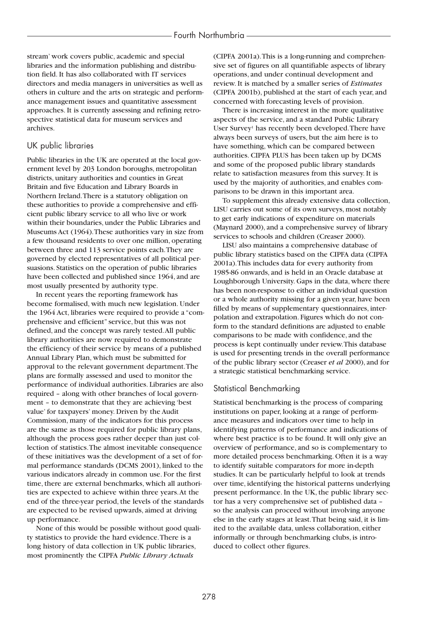stream' work covers public, academic and special libraries and the information publishing and distribution field. It has also collaborated with IT services directors and media managers in universities as well as others in culture and the arts on strategic and performance management issues and quantitative assessment approaches. It is currently assessing and refining retrospective statistical data for museum services and archives.

## UK public libraries

Public libraries in the UK are operated at the local government level by 203 London boroughs, metropolitan districts, unitary authorities and counties in Great Britain and five Education and Library Boards in Northern Ireland.There is a statutory obligation on these authorities to provide a comprehensive and efficient public library service to all who live or work within their boundaries, under the Public Libraries and Museums Act (1964).These authorities vary in size from a few thousand residents to over one million, operating between three and 113 service points each.They are governed by elected representatives of all political persuasions. Statistics on the operation of public libraries have been collected and published since 1964, and are most usually presented by authority type.

In recent years the reporting framework has become formalised, with much new legislation. Under the 1964 Act, libraries were required to provide a "comprehensive and efficient" service, but this was not defined, and the concept was rarely tested.All public library authorities are now required to demonstrate the efficiency of their service by means of a published Annual Library Plan, which must be submitted for approval to the relevant government department.The plans are formally assessed and used to monitor the performance of individual authorities. Libraries are also required – along with other branches of local government – to demonstrate that they are achieving 'best value' for taxpayers' money. Driven by the Audit Commission, many of the indicators for this process are the same as those required for public library plans, although the process goes rather deeper than just collection of statistics.The almost inevitable consequence of these initiatives was the development of a set of formal performance standards (DCMS 2001), linked to the various indicators already in common use. For the first time, there are external benchmarks, which all authorities are expected to achieve within three years.At the end of the three-year period, the levels of the standards are expected to be revised upwards, aimed at driving up performance.

None of this would be possible without good quality statistics to provide the hard evidence.There is a long history of data collection in UK public libraries, most prominently the CIPFA *Public Library Actuals*

(CIPFA 2001a).This is a long-running and comprehensive set of figures on all quantifiable aspects of library operations, and under continual development and review. It is matched by a smaller series of *Estimates* (CIPFA 2001b), published at the start of each year, and concerned with forecasting levels of provision.

There is increasing interest in the more qualitative aspects of the service, and a standard Public Library User Survey<sup>1</sup> has recently been developed. There have always been surveys of users, but the aim here is to have something, which can be compared between authorities. CIPFA PLUS has been taken up by DCMS and some of the proposed public library standards relate to satisfaction measures from this survey. It is used by the majority of authorities, and enables comparisons to be drawn in this important area.

To supplement this already extensive data collection, LISU carries out some of its own surveys, most notably to get early indications of expenditure on materials (Maynard 2000), and a comprehensive survey of library services to schools and children (Creaser 2000).

LISU also maintains a comprehensive database of public library statistics based on the CIPFA data (CIPFA 2001a).This includes data for every authority from 1985-86 onwards, and is held in an Oracle database at Loughborough University. Gaps in the data, where there has been non-response to either an individual question or a whole authority missing for a given year, have been filled by means of supplementary questionnaires, interpolation and extrapolation. Figures which do not conform to the standard definitions are adjusted to enable comparisons to be made with confidence, and the process is kept continually under review.This database is used for presenting trends in the overall performance of the public library sector (Creaser *et al* 2000), and for a strategic statistical benchmarking service.

## Statistical Benchmarking

Statistical benchmarking is the process of comparing institutions on paper, looking at a range of performance measures and indicators over time to help in identifying patterns of performance and indications of where best practice is to be found. It will only give an overview of performance, and so is complementary to more detailed process benchmarking. Often it is a way to identify suitable comparators for more in-depth studies. It can be particularly helpful to look at trends over time, identifying the historical patterns underlying present performance. In the UK, the public library sector has a very comprehensive set of published data – so the analysis can proceed without involving anyone else in the early stages at least.That being said, it is limited to the available data, unless collaboration, either informally or through benchmarking clubs, is introduced to collect other figures.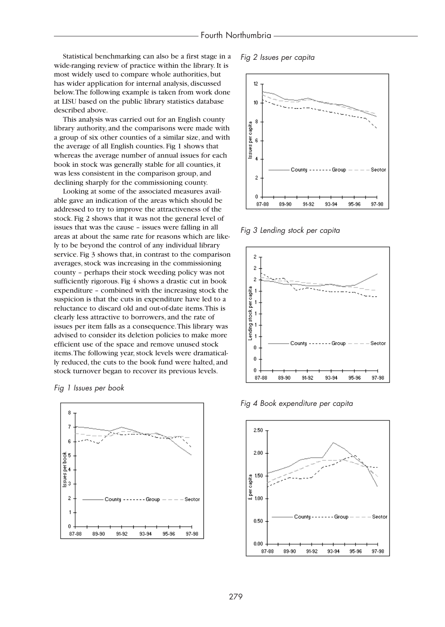Statistical benchmarking can also be a first stage in a wide-ranging review of practice within the library. It is most widely used to compare whole authorities, but has wider application for internal analysis, discussed below.The following example is taken from work done at LISU based on the public library statistics database described above.

This analysis was carried out for an English county library authority, and the comparisons were made with a group of six other counties of a similar size, and with the average of all English counties. Fig 1 shows that whereas the average number of annual issues for each book in stock was generally stable for all counties, it was less consistent in the comparison group, and declining sharply for the commissioning county.

Looking at some of the associated measures available gave an indication of the areas which should be addressed to try to improve the attractiveness of the stock. Fig 2 shows that it was not the general level of issues that was the cause – issues were falling in all areas at about the same rate for reasons which are likely to be beyond the control of any individual library service. Fig 3 shows that, in contrast to the comparison averages, stock was increasing in the commissioning county – perhaps their stock weeding policy was not sufficiently rigorous. Fig 4 shows a drastic cut in book expenditure – combined with the increasing stock the suspicion is that the cuts in expenditure have led to a reluctance to discard old and out-of-date items.This is clearly less attractive to borrowers, and the rate of issues per item falls as a consequence.This library was advised to consider its deletion policies to make more efficient use of the space and remove unused stock items.The following year, stock levels were dramatically reduced, the cuts to the book fund were halted, and stock turnover began to recover its previous levels.

*Fig 1 Issues per book*



*Fig 2 Issues per capita*



*Fig 3 Lending stock per capita*



*Fig 4 Book expenditure per capita*

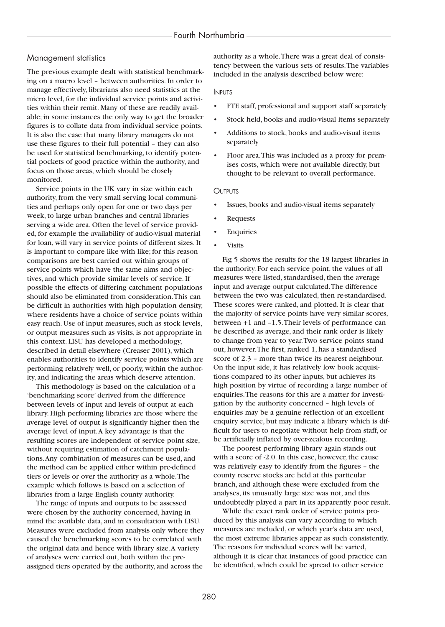#### Management statistics

The previous example dealt with statistical benchmarking on a macro level – between authorities. In order to manage effectively, librarians also need statistics at the micro level, for the individual service points and activities within their remit. Many of these are readily available; in some instances the only way to get the broader figures is to collate data from individual service points. It is also the case that many library managers do not use these figures to their full potential – they can also be used for statistical benchmarking, to identify potential pockets of good practice within the authority, and focus on those areas, which should be closely monitored.

Service points in the UK vary in size within each authority, from the very small serving local communities and perhaps only open for one or two days per week, to large urban branches and central libraries serving a wide area. Often the level of service provided, for example the availability of audio-visual material for loan, will vary in service points of different sizes. It is important to compare like with like; for this reason comparisons are best carried out within groups of service points which have the same aims and objectives, and which provide similar levels of service. If possible the effects of differing catchment populations should also be eliminated from consideration.This can be difficult in authorities with high population density, where residents have a choice of service points within easy reach. Use of input measures, such as stock levels, or output measures such as visits, is not appropriate in this context. LISU has developed a methodology, described in detail elsewhere (Creaser 2001), which enables authorities to identify service points which are performing relatively well, or poorly, within the authority, and indicating the areas which deserve attention.

This methodology is based on the calculation of a 'benchmarking score' derived from the difference between levels of input and levels of output at each library. High performing libraries are those where the average level of output is significantly higher then the average level of input.A key advantage is that the resulting scores are independent of service point size, without requiring estimation of catchment populations.Any combination of measures can be used, and the method can be applied either within pre-defined tiers or levels or over the authority as a whole.The example which follows is based on a selection of libraries from a large English county authority.

The range of inputs and outputs to be assessed were chosen by the authority concerned, having in mind the available data, and in consultation with LISU. Measures were excluded from analysis only where they caused the benchmarking scores to be correlated with the original data and hence with library size.A variety of analyses were carried out, both within the preassigned tiers operated by the authority, and across the

authority as a whole.There was a great deal of consistency between the various sets of results.The variables included in the analysis described below were:

#### INPUTS

- FTE staff, professional and support staff separately
- Stock held, books and audio-visual items separately
- Additions to stock, books and audio-visual items separately
- Floor area.This was included as a proxy for premises costs, which were not available directly, but thought to be relevant to overall performance.

#### **OUTPUTS**

- Issues, books and audio-visual items separately
- **Requests**
- **Enquiries**
- **Visits**

Fig 5 shows the results for the 18 largest libraries in the authority. For each service point, the values of all measures were listed, standardised, then the average input and average output calculated.The difference between the two was calculated, then re-standardised. These scores were ranked, and plotted. It is clear that the majority of service points have very similar scores, between +1 and –1.5.Their levels of performance can be described as average, and their rank order is likely to change from year to year.Two service points stand out, however.The first, ranked 1, has a standardised score of 2.3 – more than twice its nearest neighbour. On the input side, it has relatively low book acquisitions compared to its other inputs, but achieves its high position by virtue of recording a large number of enquiries.The reasons for this are a matter for investigation by the authority concerned – high levels of enquiries may be a genuine reflection of an excellent enquiry service, but may indicate a library which is difficult for users to negotiate without help from staff, or be artificially inflated by over-zealous recording.

The poorest performing library again stands out with a score of -2.0. In this case, however, the cause was relatively easy to identify from the figures – the county reserve stocks are held at this particular branch, and although these were excluded from the analyses, its unusually large size was not, and this undoubtedly played a part in its apparently poor result.

While the exact rank order of service points produced by this analysis can vary according to which measures are included, or which year's data are used, the most extreme libraries appear as such consistently. The reasons for individual scores will be varied, although it is clear that instances of good practice can be identified, which could be spread to other service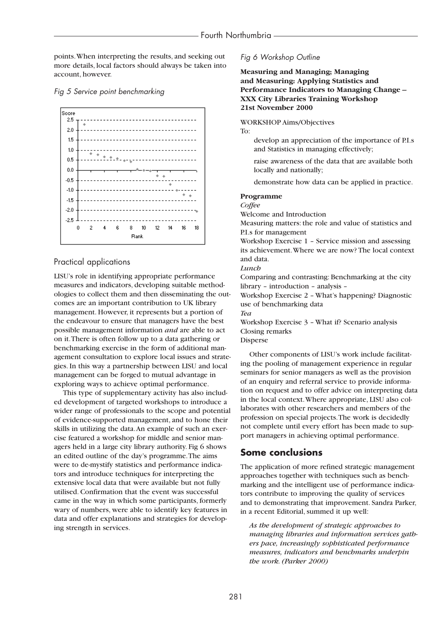points.When interpreting the results, and seeking out more details, local factors should always be taken into account, however.





# Practical applications

LISU's role in identifying appropriate performance measures and indicators, developing suitable methodologies to collect them and then disseminating the outcomes are an important contribution to UK library management. However, it represents but a portion of the endeavour to ensure that managers have the best possible management information *and* are able to act on it.There is often follow up to a data gathering or benchmarking exercise in the form of additional management consultation to explore local issues and strategies. In this way a partnership between LISU and local management can be forged to mutual advantage in exploring ways to achieve optimal performance.

This type of supplementary activity has also included development of targeted workshops to introduce a wider range of professionals to the scope and potential of evidence-supported management, and to hone their skills in utilizing the data.An example of such an exercise featured a workshop for middle and senior managers held in a large city library authority. Fig 6 shows an edited outline of the day's programme.The aims were to de-mystify statistics and performance indicators and introduce techniques for interpreting the extensive local data that were available but not fully utilised. Confirmation that the event was successful came in the way in which some participants, formerly wary of numbers, were able to identify key features in data and offer explanations and strategies for developing strength in services.

## *Fig 6 Workshop Outline*

**Measuring and Managing; Managing and Measuring: Applying Statistics and Performance Indicators to Managing Change – XXX City Libraries Training Workshop 21st November 2000**

WORKSHOP Aims/Objectives

To:

- develop an appreciation of the importance of P.I.s and Statistics in managing effectively;
- raise awareness of the data that are available both locally and nationally;
- demonstrate how data can be applied in practice.

## **Programme**

*Coffee*

Welcome and Introduction

Measuring matters: the role and value of statistics and P.I.s for management

Workshop Exercise 1 – Service mission and assessing its achievement.Where we are now? The local context and data.

*Lunch*

Comparing and contrasting: Benchmarking at the city library – introduction – analysis –

Workshop Exercise 2 – What's happening? Diagnostic use of benchmarking data

*Tea*

Workshop Exercise 3 – What if? Scenario analysis Closing remarks

Disperse

Other components of LISU's work include facilitating the pooling of management experience in regular seminars for senior managers as well as the provision of an enquiry and referral service to provide information on request and to offer advice on interpreting data in the local context.Where appropriate, LISU also collaborates with other researchers and members of the profession on special projects.The work is decidedly not complete until every effort has been made to support managers in achieving optimal performance.

# **Some conclusions**

The application of more refined strategic management approaches together with techniques such as benchmarking and the intelligent use of performance indicators contribute to improving the quality of services and to demonstrating that improvement. Sandra Parker, in a recent Editorial, summed it up well:

*As the development of strategic approaches to managing libraries and information services gathers pace, increasingly sophisticated performance measures, indicators and benchmarks underpin the work. (Parker 2000)*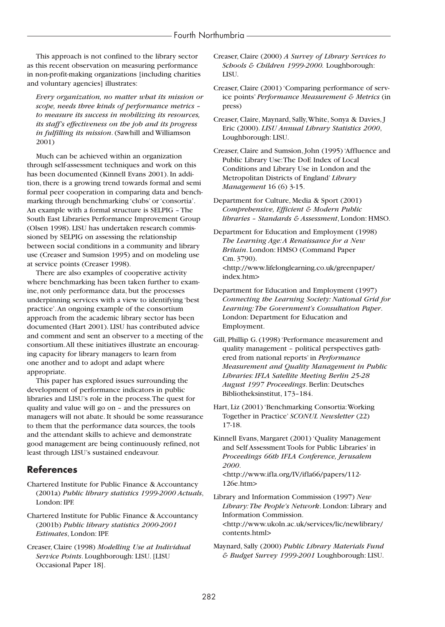This approach is not confined to the library sector as this recent observation on measuring performance in non-profit-making organizations [including charities and voluntary agencies] illustrates:

*Every organization, no matter what its mission or scope, needs three kinds of performance metrics – to measure its success in mobilizing its resources, its staff's effectiveness on the job and its progress in fulfilling its mission*. (Sawhill and Williamson 2001)

Much can be achieved within an organization through self-assessment techniques and work on this has been documented (Kinnell Evans 2001). In addition, there is a growing trend towards formal and semi formal peer cooperation in comparing data and benchmarking through benchmarking 'clubs' or 'consortia'. An example with a formal structure is SELPIG – The South East Libraries Performance Improvement Group (Olsen 1998). LISU has undertaken research commissioned by SELPIG on assessing the relationship between social conditions in a community and library use (Creaser and Sumsion 1995) and on modeling use at service points (Creaser 1998).

There are also examples of cooperative activity where benchmarking has been taken further to examine, not only performance data, but the processes underpinning services with a view to identifying 'best practice'.An ongoing example of the consortium approach from the academic library sector has been documented (Hart 2001). LISU has contributed advice and comment and sent an observer to a meeting of the consortium.All these initiatives illustrate an encouraging capacity for library managers to learn from one another and to adopt and adapt where appropriate.

This paper has explored issues surrounding the development of performance indicators in public libraries and LISU's role in the process.The quest for quality and value will go on – and the pressures on managers will not abate. It should be some reassurance to them that the performance data sources, the tools and the attendant skills to achieve and demonstrate good management are being continuously refined, not least through LISU's sustained endeavour.

# **References**

Chartered Institute for Public Finance & Accountancy (2001a) *Public library statistics 1999-2000 Actuals*, London: IPF.

Chartered Institute for Public Finance & Accountancy (2001b) *Public library statistics 2000-2001 Estimates*, London: IPF.

Creaser, Claire (1998) *Modelling Use at Individual Service Points*. Loughborough: LISU. [LISU Occasional Paper 18].

- Creaser, Claire (2000) *A Survey of Library Services to Schools & Children 1999-2000.* Loughborough: LISU.
- Creaser, Claire (2001) 'Comparing performance of service points' *Performance Measurement & Metrics* (in press)

Creaser, Claire, Maynard, Sally,White, Sonya & Davies, J Eric (2000). *LISU Annual Library Statistics 2000*, Loughborough: LISU.

Creaser, Claire and Sumsion, John (1995) 'Affluence and Public Library Use:The DoE Index of Local Conditions and Library Use in London and the Metropolitan Districts of England' *Library Management* 16 (6) 3-15.

Department for Culture, Media & Sport (2001) *Comprehensive, Efficient & Modern Public libraries – Standards & Assessment*, London: HMSO.

Department for Education and Employment (1998) *The Learning Age:A Renaissance for a New Britain*. London: HMSO (Command Paper Cm. 3790). <http://www.lifelonglearning.co.uk/greenpaper/ index.htm>

- Department for Education and Employment (1997) *Connecting the Learning Society: National Grid for Learning:The Government's Consultation Paper*. London: Department for Education and Employment.
- Gill, Phillip G. (1998) 'Performance measurement and quality management – political perspectives gathered from national reports' in *Performance Measurement and Quality Management in Public Libraries: IFLA Satellite Meeting Berlin 25-28 August 1997 Proceedings*. Berlin: Deutsches Bibliotheksinstitut, 173–184.
- Hart, Liz (2001) 'Benchmarking Consortia:Working Together in Practice' *SCONUL Newsletter* (22) 17-18.

Kinnell Evans, Margaret (2001) 'Quality Management and Self Assessment Tools for Public Libraries' in *Proceedings 66th IFLA Conference, Jerusalem 2000*. <http://www.ifla.org/IV/ifla66/papers/112-

126e.htm>

Library and Information Commission (1997) *New Library:The People's Network*. London: Library and Information Commission. <http://www.ukoln.ac.uk/services/lic/newlibrary/ contents.html>

Maynard, Sally (2000) *Public Library Materials Fund & Budget Survey 1999-2001* Loughborough: LISU.